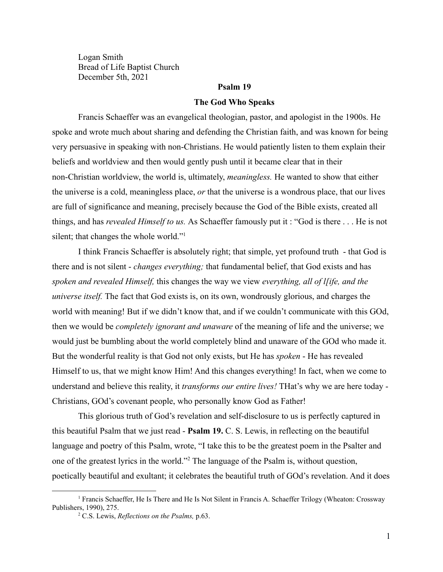Logan Smith Bread of Life Baptist Church December 5th, 2021

# **Psalm 19**

#### **The God Who Speaks**

Francis Schaeffer was an evangelical theologian, pastor, and apologist in the 1900s. He spoke and wrote much about sharing and defending the Christian faith, and was known for being very persuasive in speaking with non-Christians. He would patiently listen to them explain their beliefs and worldview and then would gently push until it became clear that in their non-Christian worldview, the world is, ultimately, *meaningless.* He wanted to show that either the universe is a cold, meaningless place, *or* that the universe is a wondrous place, that our lives are full of significance and meaning, precisely because the God of the Bible exists, created all things, and has *revealed Himself to us.* As Schaeffer famously put it : "God is there . . . He is not silent; that changes the whole world."<sup>1</sup>

I think Francis Schaeffer is absolutely right; that simple, yet profound truth - that God is there and is not silent - *changes everything;* that fundamental belief, that God exists and has *spoken and revealed Himself,* this changes the way we view *everything, all of l[ife, and the universe itself.* The fact that God exists is, on its own, wondrously glorious, and charges the world with meaning! But if we didn't know that, and if we couldn't communicate with this GOd, then we would be *completely ignorant and unaware* of the meaning of life and the universe; we would just be bumbling about the world completely blind and unaware of the GOd who made it. But the wonderful reality is that God not only exists, but He has *spoken* - He has revealed Himself to us, that we might know Him! And this changes everything! In fact, when we come to understand and believe this reality, it *transforms our entire lives!* THat's why we are here today - Christians, GOd's covenant people, who personally know God as Father!

This glorious truth of God's revelation and self-disclosure to us is perfectly captured in this beautiful Psalm that we just read - **Psalm 19.** C. S. Lewis, in reflecting on the beautiful language and poetry of this Psalm, wrote, "I take this to be the greatest poem in the Psalter and one of the greatest lyrics in the world."<sup>2</sup> The language of the Psalm is, without question, poetically beautiful and exultant; it celebrates the beautiful truth of GOd's revelation. And it does

<sup>1</sup> Francis Schaeffer, He Is There and He Is Not Silent in Francis A. Schaeffer Trilogy (Wheaton: Crossway Publishers, 1990), 275.

<sup>2</sup> C.S. Lewis, *Reflections on the Psalms,* p.63.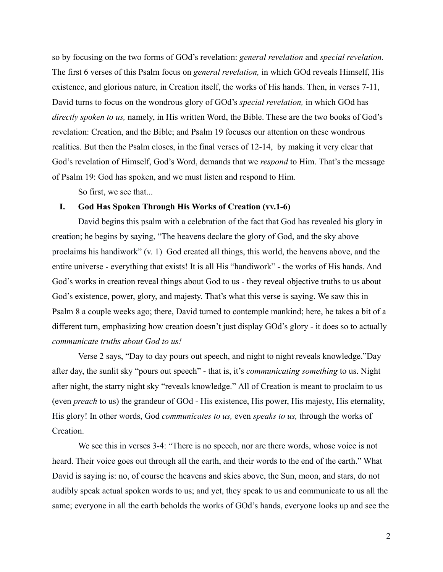so by focusing on the two forms of GOd's revelation: *general revelation* and *special revelation.* The first 6 verses of this Psalm focus on *general revelation,* in which GOd reveals Himself, His existence, and glorious nature, in Creation itself, the works of His hands. Then, in verses 7-11, David turns to focus on the wondrous glory of GOd's *special revelation,* in which GOd has *directly spoken to us,* namely, in His written Word, the Bible. These are the two books of God's revelation: Creation, and the Bible; and Psalm 19 focuses our attention on these wondrous realities. But then the Psalm closes, in the final verses of 12-14, by making it very clear that God's revelation of Himself, God's Word, demands that we *respond* to Him. That's the message of Psalm 19: God has spoken, and we must listen and respond to Him.

So first, we see that...

## **I. God Has Spoken Through His Works of Creation (vv.1-6)**

David begins this psalm with a celebration of the fact that God has revealed his glory in creation; he begins by saying, "The heavens declare the glory of God, and the sky above proclaims his handiwork" (v. 1) God created all things, this world, the heavens above, and the entire universe - everything that exists! It is all His "handiwork" - the works of His hands. And God's works in creation reveal things about God to us - they reveal objective truths to us about God's existence, power, glory, and majesty. That's what this verse is saying. We saw this in Psalm 8 a couple weeks ago; there, David turned to contemple mankind; here, he takes a bit of a different turn, emphasizing how creation doesn't just display GOd's glory - it does so to actually *communicate truths about God to us!*

Verse 2 says, "Day to day pours out speech, and night to night reveals knowledge."Day after day, the sunlit sky "pours out speech" - that is, it's *communicating something* to us. Night after night, the starry night sky "reveals knowledge." All of Creation is meant to proclaim to us (even *preach* to us) the grandeur of GOd - His existence, His power, His majesty, His eternality, His glory! In other words, God *communicates to us,* even *speaks to us,* through the works of Creation.

We see this in verses 3-4: "There is no speech, nor are there words, whose voice is not heard. Their voice goes out through all the earth, and their words to the end of the earth." What David is saying is: no, of course the heavens and skies above, the Sun, moon, and stars, do not audibly speak actual spoken words to us; and yet, they speak to us and communicate to us all the same; everyone in all the earth beholds the works of GOd's hands, everyone looks up and see the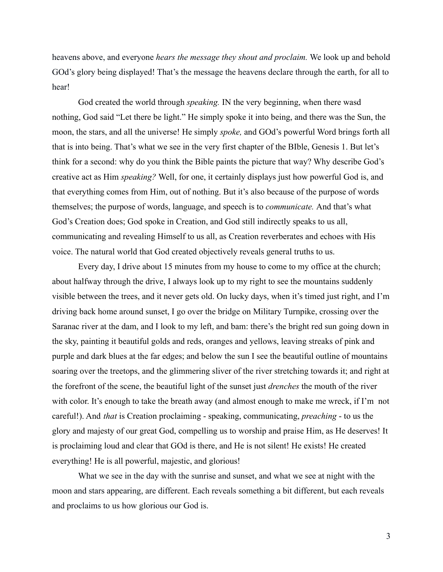heavens above, and everyone *hears the message they shout and proclaim.* We look up and behold GOd's glory being displayed! That's the message the heavens declare through the earth, for all to hear!

God created the world through *speaking.* IN the very beginning, when there wasd nothing, God said "Let there be light." He simply spoke it into being, and there was the Sun, the moon, the stars, and all the universe! He simply *spoke,* and GOd's powerful Word brings forth all that is into being. That's what we see in the very first chapter of the BIble, Genesis 1. But let's think for a second: why do you think the Bible paints the picture that way? Why describe God's creative act as Him *speaking?* Well, for one, it certainly displays just how powerful God is, and that everything comes from Him, out of nothing. But it's also because of the purpose of words themselves; the purpose of words, language, and speech is to *communicate.* And that's what God's Creation does; God spoke in Creation, and God still indirectly speaks to us all, communicating and revealing Himself to us all, as Creation reverberates and echoes with His voice. The natural world that God created objectively reveals general truths to us.

Every day, I drive about 15 minutes from my house to come to my office at the church; about halfway through the drive, I always look up to my right to see the mountains suddenly visible between the trees, and it never gets old. On lucky days, when it's timed just right, and I'm driving back home around sunset, I go over the bridge on Military Turnpike, crossing over the Saranac river at the dam, and I look to my left, and bam: there's the bright red sun going down in the sky, painting it beautiful golds and reds, oranges and yellows, leaving streaks of pink and purple and dark blues at the far edges; and below the sun I see the beautiful outline of mountains soaring over the treetops, and the glimmering sliver of the river stretching towards it; and right at the forefront of the scene, the beautiful light of the sunset just *drenches* the mouth of the river with color. It's enough to take the breath away (and almost enough to make me wreck, if I'm not careful!). And *that* is Creation proclaiming - speaking, communicating, *preaching* - to us the glory and majesty of our great God, compelling us to worship and praise Him, as He deserves! It is proclaiming loud and clear that GOd is there, and He is not silent! He exists! He created everything! He is all powerful, majestic, and glorious!

What we see in the day with the sunrise and sunset, and what we see at night with the moon and stars appearing, are different. Each reveals something a bit different, but each reveals and proclaims to us how glorious our God is.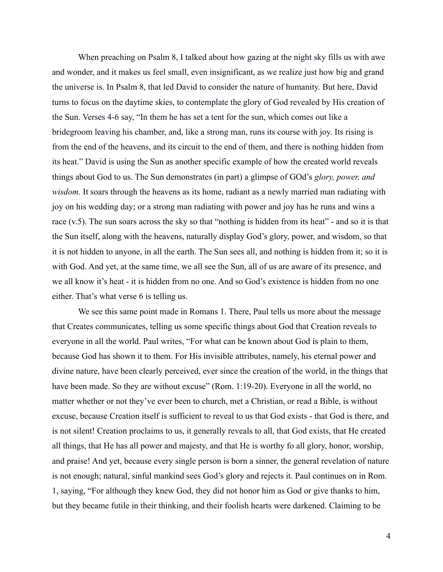When preaching on Psalm 8, I talked about how gazing at the night sky fills us with awe and wonder, and it makes us feel small, even insignificant, as we realize just how big and grand the universe is. In Psalm 8, that led David to consider the nature of humanity. But here, David turns to focus on the daytime skies, to contemplate the glory of God revealed by His creation of the Sun. Verses 4-6 say, "In them he has set a tent for the sun, which comes out like a bridegroom leaving his chamber, and, like a strong man, runs its course with joy. Its rising is from the end of the heavens, and its circuit to the end of them, and there is nothing hidden from its heat." David is using the Sun as another specific example of how the created world reveals things about God to us. The Sun demonstrates (in part) a glimpse of GOd's *glory, power, and wisdom.* It soars through the heavens as its home, radiant as a newly married man radiating with joy on his wedding day; or a strong man radiating with power and joy has he runs and wins a race (v.5). The sun soars across the sky so that "nothing is hidden from its heat" - and so it is that the Sun itself, along with the heavens, naturally display God's glory, power, and wisdom, so that it is not hidden to anyone, in all the earth. The Sun sees all, and nothing is hidden from it; so it is with God. And yet, at the same time, we all see the Sun, all of us are aware of its presence, and we all know it's heat - it is hidden from no one. And so God's existence is hidden from no one either. That's what verse 6 is telling us.

We see this same point made in Romans 1. There, Paul tells us more about the message that Creates communicates, telling us some specific things about God that Creation reveals to everyone in all the world. Paul writes, "For what can be known about God is plain to them, because God has shown it to them. For His invisible attributes, namely, his eternal power and divine nature, have been clearly perceived, ever since the creation of the world, in the things that have been made. So they are without excuse" (Rom. 1:19-20). Everyone in all the world, no matter whether or not they've ever been to church, met a Christian, or read a Bible, is without excuse, because Creation itself is sufficient to reveal to us that God exists - that God is there, and is not silent! Creation proclaims to us, it generally reveals to all, that God exists, that He created all things, that He has all power and majesty, and that He is worthy fo all glory, honor, worship, and praise! And yet, because every single person is born a sinner, the general revelation of nature is not enough; natural, sinful mankind sees God's glory and rejects it. Paul continues on in Rom. 1, saying, "For although they knew God, they did not honor him as God or give thanks to him, but they became futile in their thinking, and their foolish hearts were darkened. Claiming to be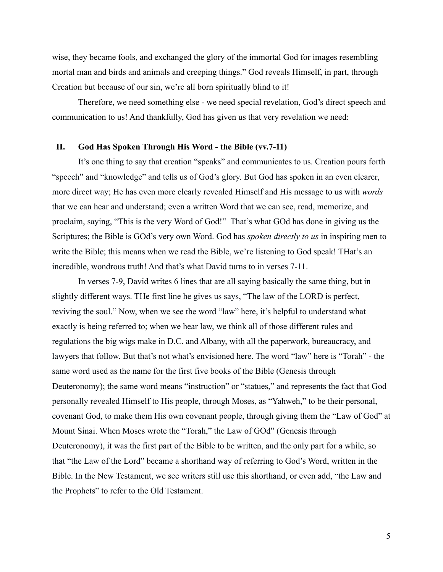wise, they became fools, and exchanged the glory of the immortal God for images resembling mortal man and birds and animals and creeping things." God reveals Himself, in part, through Creation but because of our sin, we're all born spiritually blind to it!

Therefore, we need something else - we need special revelation, God's direct speech and communication to us! And thankfully, God has given us that very revelation we need:

## **II. God Has Spoken Through His Word - the Bible (vv.7-11)**

It's one thing to say that creation "speaks" and communicates to us. Creation pours forth "speech" and "knowledge" and tells us of God's glory. But God has spoken in an even clearer, more direct way; He has even more clearly revealed Himself and His message to us with *words* that we can hear and understand; even a written Word that we can see, read, memorize, and proclaim, saying, "This is the very Word of God!" That's what GOd has done in giving us the Scriptures; the Bible is GOd's very own Word. God has *spoken directly to us* in inspiring men to write the Bible; this means when we read the Bible, we're listening to God speak! THat's an incredible, wondrous truth! And that's what David turns to in verses 7-11.

In verses 7-9, David writes 6 lines that are all saying basically the same thing, but in slightly different ways. THe first line he gives us says, "The law of the LORD is perfect, reviving the soul." Now, when we see the word "law" here, it's helpful to understand what exactly is being referred to; when we hear law, we think all of those different rules and regulations the big wigs make in D.C. and Albany, with all the paperwork, bureaucracy, and lawyers that follow. But that's not what's envisioned here. The word "law" here is "Torah" - the same word used as the name for the first five books of the Bible (Genesis through Deuteronomy); the same word means "instruction" or "statues," and represents the fact that God personally revealed Himself to His people, through Moses, as "Yahweh," to be their personal, covenant God, to make them His own covenant people, through giving them the "Law of God" at Mount Sinai. When Moses wrote the "Torah," the Law of GOd" (Genesis through Deuteronomy), it was the first part of the Bible to be written, and the only part for a while, so that "the Law of the Lord" became a shorthand way of referring to God's Word, written in the Bible. In the New Testament, we see writers still use this shorthand, or even add, "the Law and the Prophets" to refer to the Old Testament.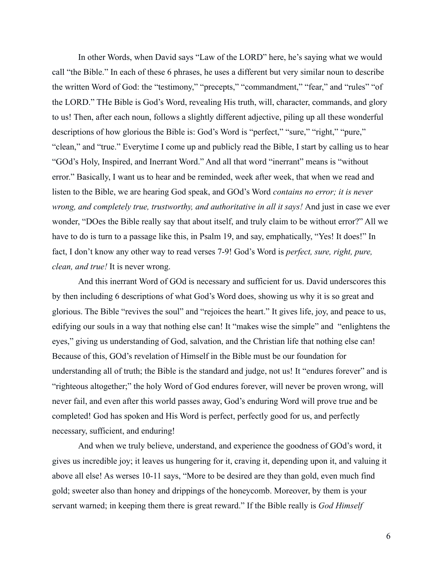In other Words, when David says "Law of the LORD" here, he's saying what we would call "the Bible." In each of these 6 phrases, he uses a different but very similar noun to describe the written Word of God: the "testimony," "precepts," "commandment," "fear," and "rules" "of the LORD." THe Bible is God's Word, revealing His truth, will, character, commands, and glory to us! Then, after each noun, follows a slightly different adjective, piling up all these wonderful descriptions of how glorious the Bible is: God's Word is "perfect," "sure," "right," "pure," "clean," and "true." Everytime I come up and publicly read the Bible, I start by calling us to hear "GOd's Holy, Inspired, and Inerrant Word." And all that word "inerrant" means is "without error." Basically, I want us to hear and be reminded, week after week, that when we read and listen to the Bible, we are hearing God speak, and GOd's Word *contains no error; it is never wrong, and completely true, trustworthy, and authoritative in all it says!* And just in case we ever wonder, "DOes the Bible really say that about itself, and truly claim to be without error?" All we have to do is turn to a passage like this, in Psalm 19, and say, emphatically, "Yes! It does!" In fact, I don't know any other way to read verses 7-9! God's Word is *perfect, sure, right, pure, clean, and true!* It is never wrong.

And this inerrant Word of GOd is necessary and sufficient for us. David underscores this by then including 6 descriptions of what God's Word does, showing us why it is so great and glorious. The Bible "revives the soul" and "rejoices the heart." It gives life, joy, and peace to us, edifying our souls in a way that nothing else can! It "makes wise the simple" and "enlightens the eyes," giving us understanding of God, salvation, and the Christian life that nothing else can! Because of this, GOd's revelation of Himself in the Bible must be our foundation for understanding all of truth; the Bible is the standard and judge, not us! It "endures forever" and is "righteous altogether;" the holy Word of God endures forever, will never be proven wrong, will never fail, and even after this world passes away, God's enduring Word will prove true and be completed! God has spoken and His Word is perfect, perfectly good for us, and perfectly necessary, sufficient, and enduring!

And when we truly believe, understand, and experience the goodness of GOd's word, it gives us incredible joy; it leaves us hungering for it, craving it, depending upon it, and valuing it above all else! As werses 10-11 says, "More to be desired are they than gold, even much find gold; sweeter also than honey and drippings of the honeycomb. Moreover, by them is your servant warned; in keeping them there is great reward." If the Bible really is *God Himself*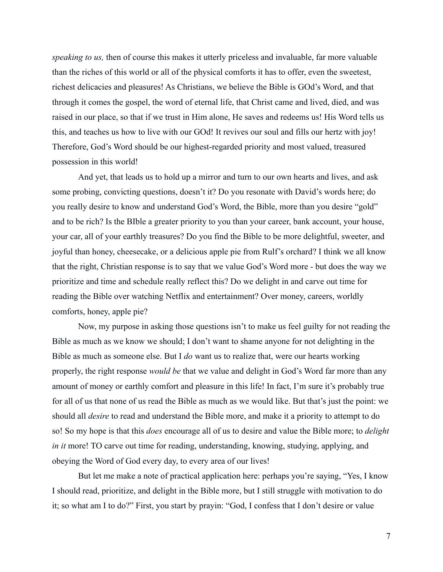*speaking to us,* then of course this makes it utterly priceless and invaluable, far more valuable than the riches of this world or all of the physical comforts it has to offer, even the sweetest, richest delicacies and pleasures! As Christians, we believe the Bible is GOd's Word, and that through it comes the gospel, the word of eternal life, that Christ came and lived, died, and was raised in our place, so that if we trust in Him alone, He saves and redeems us! His Word tells us this, and teaches us how to live with our GOd! It revives our soul and fills our hertz with joy! Therefore, God's Word should be our highest-regarded priority and most valued, treasured possession in this world!

And yet, that leads us to hold up a mirror and turn to our own hearts and lives, and ask some probing, convicting questions, doesn't it? Do you resonate with David's words here; do you really desire to know and understand God's Word, the Bible, more than you desire "gold" and to be rich? Is the BIble a greater priority to you than your career, bank account, your house, your car, all of your earthly treasures? Do you find the Bible to be more delightful, sweeter, and joyful than honey, cheesecake, or a delicious apple pie from Rulf's orchard? I think we all know that the right, Christian response is to say that we value God's Word more - but does the way we prioritize and time and schedule really reflect this? Do we delight in and carve out time for reading the Bible over watching Netflix and entertainment? Over money, careers, worldly comforts, honey, apple pie?

Now, my purpose in asking those questions isn't to make us feel guilty for not reading the Bible as much as we know we should; I don't want to shame anyone for not delighting in the Bible as much as someone else. But I *do* want us to realize that, were our hearts working properly, the right response *would be* that we value and delight in God's Word far more than any amount of money or earthly comfort and pleasure in this life! In fact, I'm sure it's probably true for all of us that none of us read the Bible as much as we would like. But that's just the point: we should all *desire* to read and understand the Bible more, and make it a priority to attempt to do so! So my hope is that this *does* encourage all of us to desire and value the Bible more; to *delight in it* more! TO carve out time for reading, understanding, knowing, studying, applying, and obeying the Word of God every day, to every area of our lives!

But let me make a note of practical application here: perhaps you're saying, "Yes, I know I should read, prioritize, and delight in the Bible more, but I still struggle with motivation to do it; so what am I to do?" First, you start by prayin: "God, I confess that I don't desire or value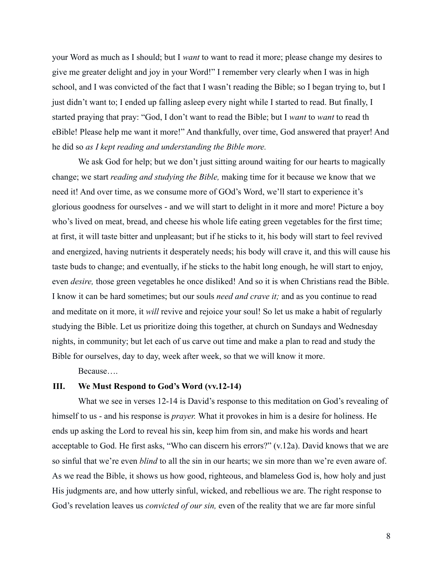your Word as much as I should; but I *want* to want to read it more; please change my desires to give me greater delight and joy in your Word!" I remember very clearly when I was in high school, and I was convicted of the fact that I wasn't reading the Bible; so I began trying to, but I just didn't want to; I ended up falling asleep every night while I started to read. But finally, I started praying that pray: "God, I don't want to read the Bible; but I *want* to *want* to read th eBible! Please help me want it more!" And thankfully, over time, God answered that prayer! And he did so *as I kept reading and understanding the Bible more.*

We ask God for help; but we don't just sitting around waiting for our hearts to magically change; we start *reading and studying the Bible,* making time for it because we know that we need it! And over time, as we consume more of GOd's Word, we'll start to experience it's glorious goodness for ourselves - and we will start to delight in it more and more! Picture a boy who's lived on meat, bread, and cheese his whole life eating green vegetables for the first time; at first, it will taste bitter and unpleasant; but if he sticks to it, his body will start to feel revived and energized, having nutrients it desperately needs; his body will crave it, and this will cause his taste buds to change; and eventually, if he sticks to the habit long enough, he will start to enjoy, even *desire,* those green vegetables he once disliked! And so it is when Christians read the Bible. I know it can be hard sometimes; but our souls *need and crave it;* and as you continue to read and meditate on it more, it *will* revive and rejoice your soul! So let us make a habit of regularly studying the Bible. Let us prioritize doing this together, at church on Sundays and Wednesday nights, in community; but let each of us carve out time and make a plan to read and study the Bible for ourselves, day to day, week after week, so that we will know it more.

Because….

### **III. We Must Respond to God's Word (vv.12-14)**

What we see in verses 12-14 is David's response to this meditation on God's revealing of himself to us - and his response is *prayer.* What it provokes in him is a desire for holiness. He ends up asking the Lord to reveal his sin, keep him from sin, and make his words and heart acceptable to God. He first asks, "Who can discern his errors?" (v.12a). David knows that we are so sinful that we're even *blind* to all the sin in our hearts; we sin more than we're even aware of. As we read the Bible, it shows us how good, righteous, and blameless God is, how holy and just His judgments are, and how utterly sinful, wicked, and rebellious we are. The right response to God's revelation leaves us *convicted of our sin,* even of the reality that we are far more sinful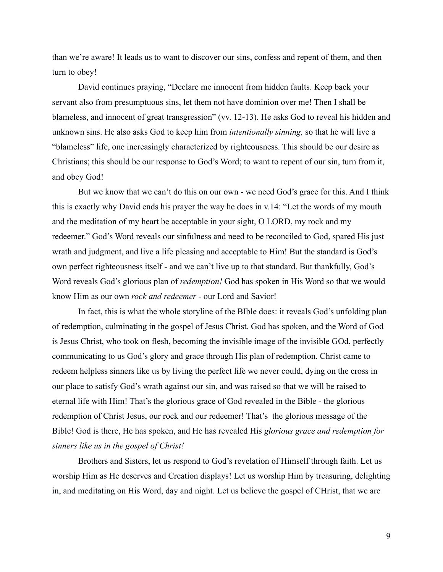than we're aware! It leads us to want to discover our sins, confess and repent of them, and then turn to obey!

David continues praying, "Declare me innocent from hidden faults. Keep back your servant also from presumptuous sins, let them not have dominion over me! Then I shall be blameless, and innocent of great transgression" (vv. 12-13). He asks God to reveal his hidden and unknown sins. He also asks God to keep him from *intentionally sinning,* so that he will live a "blameless" life, one increasingly characterized by righteousness. This should be our desire as Christians; this should be our response to God's Word; to want to repent of our sin, turn from it, and obey God!

But we know that we can't do this on our own - we need God's grace for this. And I think this is exactly why David ends his prayer the way he does in v.14: "Let the words of my mouth and the meditation of my heart be acceptable in your sight, O LORD, my rock and my redeemer." God's Word reveals our sinfulness and need to be reconciled to God, spared His just wrath and judgment, and live a life pleasing and acceptable to Him! But the standard is God's own perfect righteousness itself - and we can't live up to that standard. But thankfully, God's Word reveals God's glorious plan of *redemption!* God has spoken in His Word so that we would know Him as our own *rock and redeemer -* our Lord and Savior!

In fact, this is what the whole storyline of the BIble does: it reveals God's unfolding plan of redemption, culminating in the gospel of Jesus Christ. God has spoken, and the Word of God is Jesus Christ, who took on flesh, becoming the invisible image of the invisible GOd, perfectly communicating to us God's glory and grace through His plan of redemption. Christ came to redeem helpless sinners like us by living the perfect life we never could, dying on the cross in our place to satisfy God's wrath against our sin, and was raised so that we will be raised to eternal life with Him! That's the glorious grace of God revealed in the Bible - the glorious redemption of Christ Jesus, our rock and our redeemer! That's the glorious message of the Bible! God is there, He has spoken, and He has revealed His *glorious grace and redemption for sinners like us in the gospel of Christ!*

Brothers and Sisters, let us respond to God's revelation of Himself through faith. Let us worship Him as He deserves and Creation displays! Let us worship Him by treasuring, delighting in, and meditating on His Word, day and night. Let us believe the gospel of CHrist, that we are